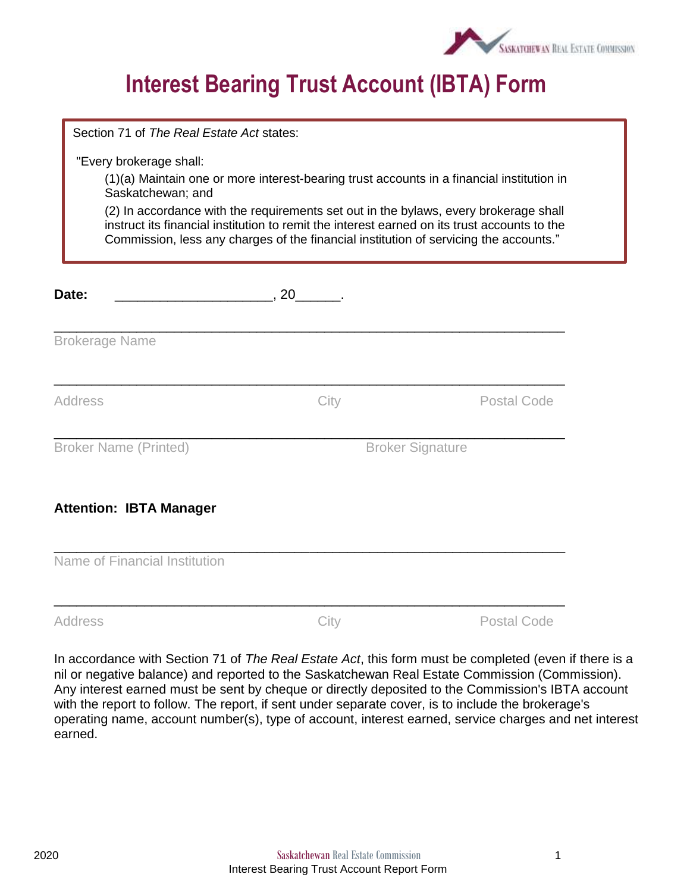

## **Interest Bearing Trust Account (IBTA) Form**

| Section 71 of The Real Estate Act states:    |                                                                                       |                                                                                                                                                                                                                                                                                   |
|----------------------------------------------|---------------------------------------------------------------------------------------|-----------------------------------------------------------------------------------------------------------------------------------------------------------------------------------------------------------------------------------------------------------------------------------|
| "Every brokerage shall:<br>Saskatchewan; and | Commission, less any charges of the financial institution of servicing the accounts." | (1)(a) Maintain one or more interest-bearing trust accounts in a financial institution in<br>(2) In accordance with the requirements set out in the bylaws, every brokerage shall<br>instruct its financial institution to remit the interest earned on its trust accounts to the |
| Date:                                        |                                                                                       |                                                                                                                                                                                                                                                                                   |
| <b>Brokerage Name</b>                        |                                                                                       |                                                                                                                                                                                                                                                                                   |
| <b>Address</b>                               | City                                                                                  | <b>Postal Code</b>                                                                                                                                                                                                                                                                |
| <b>Broker Name (Printed)</b>                 |                                                                                       | <b>Broker Signature</b>                                                                                                                                                                                                                                                           |
| <b>Attention: IBTA Manager</b>               |                                                                                       |                                                                                                                                                                                                                                                                                   |
| Name of Financial Institution                |                                                                                       |                                                                                                                                                                                                                                                                                   |
| <b>Address</b>                               | City                                                                                  | <b>Postal Code</b>                                                                                                                                                                                                                                                                |

In accordance with Section 71 of *The Real Estate Act*, this form must be completed (even if there is a nil or negative balance) and reported to the Saskatchewan Real Estate Commission (Commission). Any interest earned must be sent by cheque or directly deposited to the Commission's IBTA account with the report to follow. The report, if sent under separate cover, is to include the brokerage's operating name, account number(s), type of account, interest earned, service charges and net interest earned.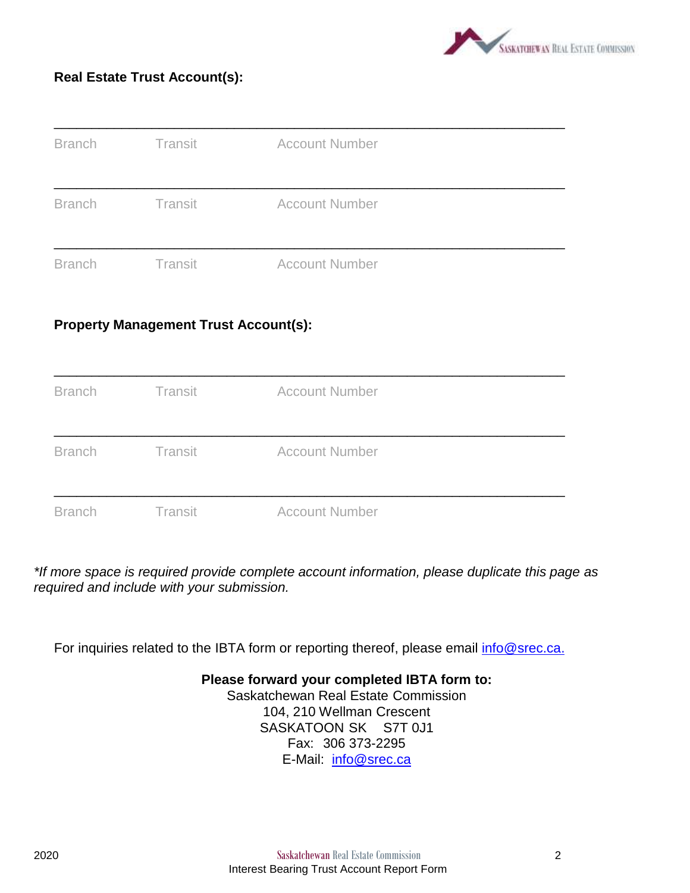

#### **Real Estate Trust Account(s):**

| <b>Branch</b> | Transit | <b>Account Number</b> |  |
|---------------|---------|-----------------------|--|
| <b>Branch</b> | Transit | <b>Account Number</b> |  |
| <b>Branch</b> | Transit | <b>Account Number</b> |  |

#### **Property Management Trust Account(s):**



*\*If more space is required provide complete account information, please duplicate this page as required and include with your submission.*

For inquiries related to the IBTA form or reporting thereof, please email [info@srec.ca.](mailto:info@srec.ca)

**Please forward your completed IBTA form to:** Saskatchewan Real Estate Commission 104, 210 Wellman Crescent SASKATOON SK S7T 0J1 Fax: 306 373-2295 E-Mail: [info@srec.ca](mailto:info@srec.ca)